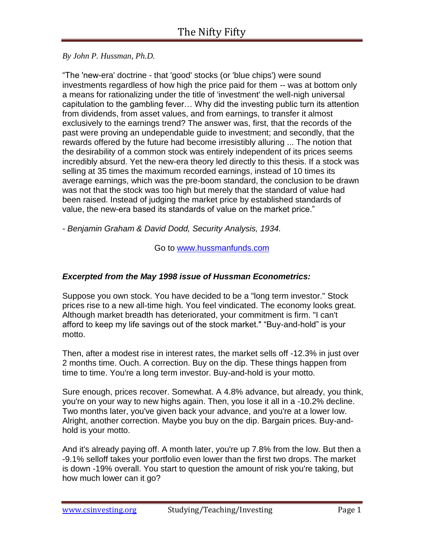*By John P. Hussman, Ph.D.*

"The 'new-era' doctrine - that 'good' stocks (or 'blue chips') were sound investments regardless of how high the price paid for them -- was at bottom only a means for rationalizing under the title of 'investment' the well-nigh universal capitulation to the gambling fever… Why did the investing public turn its attention from dividends, from asset values, and from earnings, to transfer it almost exclusively to the earnings trend? The answer was, first, that the records of the past were proving an undependable guide to investment; and secondly, that the rewards offered by the future had become irresistibly alluring ... The notion that the desirability of a common stock was entirely independent of its prices seems incredibly absurd. Yet the new-era theory led directly to this thesis. If a stock was selling at 35 times the maximum recorded earnings, instead of 10 times its average earnings, which was the pre-boom standard, the conclusion to be drawn was not that the stock was too high but merely that the standard of value had been raised. Instead of judging the market price by established standards of value, the new-era based its standards of value on the market price."

*- Benjamin Graham & David Dodd, Security Analysis, 1934.*

Go to [www.hussmanfunds.com](http://www.hussmanfunds.com/)

## *Excerpted from the May 1998 issue of Hussman Econometrics:*

Suppose you own stock. You have decided to be a "long term investor." Stock prices rise to a new all-time high. You feel vindicated. The economy looks great. Although market breadth has deteriorated, your commitment is firm. "I can't afford to keep my life savings out of the stock market." "Buy-and-hold" is your motto.

Then, after a modest rise in interest rates, the market sells off -12.3% in just over 2 months time. Ouch. A correction. Buy on the dip. These things happen from time to time. You're a long term investor. Buy-and-hold is your motto.

Sure enough, prices recover. Somewhat. A 4.8% advance, but already, you think, you're on your way to new highs again. Then, you lose it all in a -10.2% decline. Two months later, you've given back your advance, and you're at a lower low. Alright, another correction. Maybe you buy on the dip. Bargain prices. Buy-andhold is your motto.

And it's already paying off. A month later, you're up 7.8% from the low. But then a -9.1% selloff takes your portfolio even lower than the first two drops. The market is down -19% overall. You start to question the amount of risk you're taking, but how much lower can it go?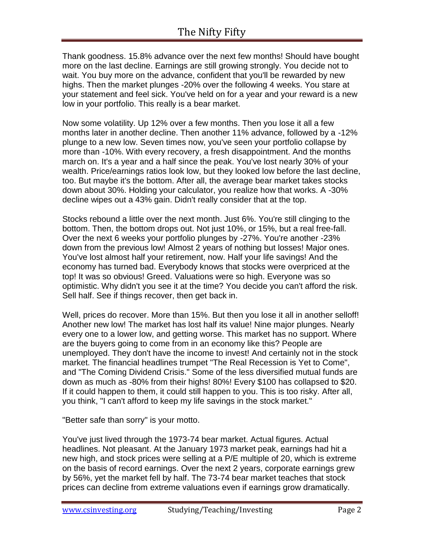Thank goodness. 15.8% advance over the next few months! Should have bought more on the last decline. Earnings are still growing strongly. You decide not to wait. You buy more on the advance, confident that you'll be rewarded by new highs. Then the market plunges -20% over the following 4 weeks. You stare at your statement and feel sick. You've held on for a year and your reward is a new low in your portfolio. This really is a bear market.

Now some volatility. Up 12% over a few months. Then you lose it all a few months later in another decline. Then another 11% advance, followed by a -12% plunge to a new low. Seven times now, you've seen your portfolio collapse by more than -10%. With every recovery, a fresh disappointment. And the months march on. It's a year and a half since the peak. You've lost nearly 30% of your wealth. Price/earnings ratios look low, but they looked low before the last decline, too. But maybe it's the bottom. After all, the average bear market takes stocks down about 30%. Holding your calculator, you realize how that works. A -30% decline wipes out a 43% gain. Didn't really consider that at the top.

Stocks rebound a little over the next month. Just 6%. You're still clinging to the bottom. Then, the bottom drops out. Not just 10%, or 15%, but a real free-fall. Over the next 6 weeks your portfolio plunges by -27%. You're another -23% down from the previous low! Almost 2 years of nothing but losses! Major ones. You've lost almost half your retirement, now. Half your life savings! And the economy has turned bad. Everybody knows that stocks were overpriced at the top! It was so obvious! Greed. Valuations were so high. Everyone was so optimistic. Why didn't you see it at the time? You decide you can't afford the risk. Sell half. See if things recover, then get back in.

Well, prices do recover. More than 15%. But then you lose it all in another selloff! Another new low! The market has lost half its value! Nine major plunges. Nearly every one to a lower low, and getting worse. This market has no support. Where are the buyers going to come from in an economy like this? People are unemployed. They don't have the income to invest! And certainly not in the stock market. The financial headlines trumpet "The Real Recession is Yet to Come", and "The Coming Dividend Crisis." Some of the less diversified mutual funds are down as much as -80% from their highs! 80%! Every \$100 has collapsed to \$20. If it could happen to them, it could still happen to you. This is too risky. After all, you think, "I can't afford to keep my life savings in the stock market."

"Better safe than sorry" is your motto.

You've just lived through the 1973-74 bear market. Actual figures. Actual headlines. Not pleasant. At the January 1973 market peak, earnings had hit a new high, and stock prices were selling at a P/E multiple of 20, which is extreme on the basis of record earnings. Over the next 2 years, corporate earnings grew by 56%, yet the market fell by half. The 73-74 bear market teaches that stock prices can decline from extreme valuations even if earnings grow dramatically.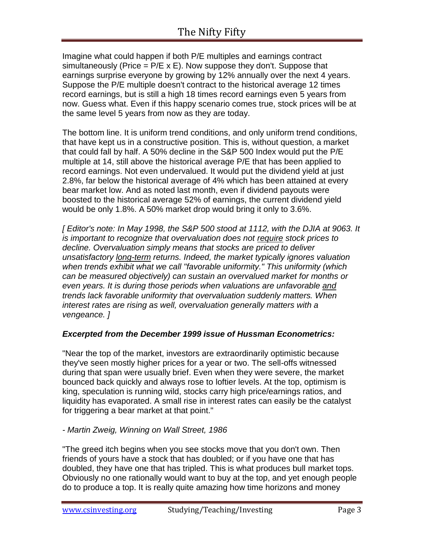Imagine what could happen if both P/E multiples and earnings contract simultaneously (Price  $= P/E \times E$ ). Now suppose they don't. Suppose that earnings surprise everyone by growing by 12% annually over the next 4 years. Suppose the P/E multiple doesn't contract to the historical average 12 times record earnings, but is still a high 18 times record earnings even 5 years from now. Guess what. Even if this happy scenario comes true, stock prices will be at the same level 5 years from now as they are today.

The bottom line. It is uniform trend conditions, and only uniform trend conditions, that have kept us in a constructive position. This is, without question, a market that could fall by half. A 50% decline in the S&P 500 Index would put the P/E multiple at 14, still above the historical average P/E that has been applied to record earnings. Not even undervalued. It would put the dividend yield at just 2.8%, far below the historical average of 4% which has been attained at every bear market low. And as noted last month, even if dividend payouts were boosted to the historical average 52% of earnings, the current dividend yield would be only 1.8%. A 50% market drop would bring it only to 3.6%.

*[ Editor's note: In May 1998, the S&P 500 stood at 1112, with the DJIA at 9063. It is important to recognize that overvaluation does not require stock prices to decline. Overvaluation simply means that stocks are priced to deliver unsatisfactory long-term returns. Indeed, the market typically ignores valuation when trends exhibit what we call "favorable uniformity." This uniformity (which can be measured objectively) can sustain an overvalued market for months or even years. It is during those periods when valuations are unfavorable and trends lack favorable uniformity that overvaluation suddenly matters. When interest rates are rising as well, overvaluation generally matters with a vengeance. ]*

## *Excerpted from the December 1999 issue of Hussman Econometrics:*

"Near the top of the market, investors are extraordinarily optimistic because they've seen mostly higher prices for a year or two. The sell-offs witnessed during that span were usually brief. Even when they were severe, the market bounced back quickly and always rose to loftier levels. At the top, optimism is king, speculation is running wild, stocks carry high price/earnings ratios, and liquidity has evaporated. A small rise in interest rates can easily be the catalyst for triggering a bear market at that point."

## *- Martin Zweig, Winning on Wall Street, 1986*

"The greed itch begins when you see stocks move that you don't own. Then friends of yours have a stock that has doubled; or if you have one that has doubled, they have one that has tripled. This is what produces bull market tops. Obviously no one rationally would want to buy at the top, and yet enough people do to produce a top. It is really quite amazing how time horizons and money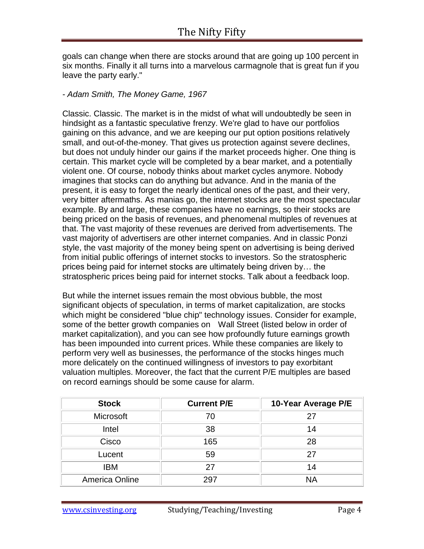goals can change when there are stocks around that are going up 100 percent in six months. Finally it all turns into a marvelous carmagnole that is great fun if you leave the party early."

### *- Adam Smith, The Money Game, 1967*

Classic. Classic. The market is in the midst of what will undoubtedly be seen in hindsight as a fantastic speculative frenzy. We're glad to have our portfolios gaining on this advance, and we are keeping our put option positions relatively small, and out-of-the-money. That gives us protection against severe declines, but does not unduly hinder our gains if the market proceeds higher. One thing is certain. This market cycle will be completed by a bear market, and a potentially violent one. Of course, nobody thinks about market cycles anymore. Nobody imagines that stocks can do anything but advance. And in the mania of the present, it is easy to forget the nearly identical ones of the past, and their very, very bitter aftermaths. As manias go, the internet stocks are the most spectacular example. By and large, these companies have no earnings, so their stocks are being priced on the basis of revenues, and phenomenal multiples of revenues at that. The vast majority of these revenues are derived from advertisements. The vast majority of advertisers are other internet companies. And in classic Ponzi style, the vast majority of the money being spent on advertising is being derived from initial public offerings of internet stocks to investors. So the stratospheric prices being paid for internet stocks are ultimately being driven by… the stratospheric prices being paid for internet stocks. Talk about a feedback loop.

But while the internet issues remain the most obvious bubble, the most significant objects of speculation, in terms of market capitalization, are stocks which might be considered "blue chip" technology issues. Consider for example, some of the better growth companies on Wall Street (listed below in order of market capitalization), and you can see how profoundly future earnings growth has been impounded into current prices. While these companies are likely to perform very well as businesses, the performance of the stocks hinges much more delicately on the continued willingness of investors to pay exorbitant valuation multiples. Moreover, the fact that the current P/E multiples are based on record earnings should be some cause for alarm.

| <b>Stock</b>          | <b>Current P/E</b> | 10-Year Average P/E |
|-----------------------|--------------------|---------------------|
| <b>Microsoft</b>      | 70                 | 27                  |
| Intel                 | 38                 | 14                  |
| Cisco                 | 165                | 28                  |
| Lucent                | 59                 | 27                  |
| <b>IBM</b>            | 27                 | 14                  |
| <b>America Online</b> | 297                | <b>NA</b>           |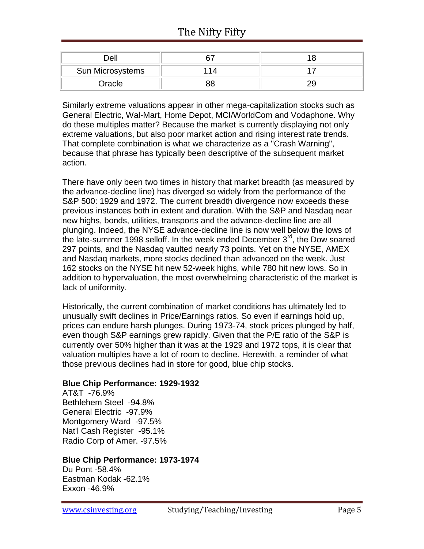| Dell             |  |
|------------------|--|
| Sun Microsystems |  |
| Oracle           |  |

Similarly extreme valuations appear in other mega-capitalization stocks such as General Electric, Wal-Mart, Home Depot, MCI/WorldCom and Vodaphone. Why do these multiples matter? Because the market is currently displaying not only extreme valuations, but also poor market action and rising interest rate trends. That complete combination is what we characterize as a "Crash Warning", because that phrase has typically been descriptive of the subsequent market action.

There have only been two times in history that market breadth (as measured by the advance-decline line) has diverged so widely from the performance of the S&P 500: 1929 and 1972. The current breadth divergence now exceeds these previous instances both in extent and duration. With the S&P and Nasdaq near new highs, bonds, utilities, transports and the advance-decline line are all plunging. Indeed, the NYSE advance-decline line is now well below the lows of the late-summer 1998 selloff. In the week ended December  $3<sup>rd</sup>$ , the Dow soared 297 points, and the Nasdaq vaulted nearly 73 points. Yet on the NYSE, AMEX and Nasdaq markets, more stocks declined than advanced on the week. Just 162 stocks on the NYSE hit new 52-week highs, while 780 hit new lows. So in addition to hypervaluation, the most overwhelming characteristic of the market is lack of uniformity.

Historically, the current combination of market conditions has ultimately led to unusually swift declines in Price/Earnings ratios. So even if earnings hold up, prices can endure harsh plunges. During 1973-74, stock prices plunged by half, even though S&P earnings grew rapidly. Given that the P/E ratio of the S&P is currently over 50% higher than it was at the 1929 and 1972 tops, it is clear that valuation multiples have a lot of room to decline. Herewith, a reminder of what those previous declines had in store for good, blue chip stocks.

## **Blue Chip Performance: 1929-1932**

AT&T -76.9% Bethlehem Steel -94.8% General Electric -97.9% Montgomery Ward -97.5% Nat'l Cash Register -95.1% Radio Corp of Amer. -97.5%

## **Blue Chip Performance: 1973-1974**

Du Pont -58.4% Eastman Kodak -62.1% Exxon -46.9%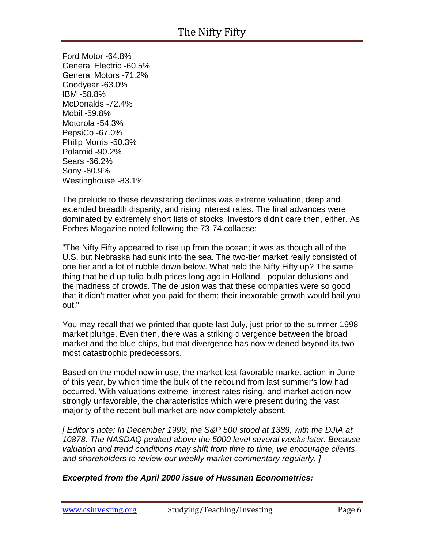Ford Motor -64.8% General Electric -60.5% General Motors -71.2% Goodyear -63.0% IBM -58.8% McDonalds -72.4% Mobil -59.8% Motorola -54.3% PepsiCo -67.0% Philip Morris -50.3% Polaroid -90.2% Sears -66.2% Sony -80.9% Westinghouse -83.1%

The prelude to these devastating declines was extreme valuation, deep and extended breadth disparity, and rising interest rates. The final advances were dominated by extremely short lists of stocks. Investors didn't care then, either. As Forbes Magazine noted following the 73-74 collapse:

"The Nifty Fifty appeared to rise up from the ocean; it was as though all of the U.S. but Nebraska had sunk into the sea. The two-tier market really consisted of one tier and a lot of rubble down below. What held the Nifty Fifty up? The same thing that held up tulip-bulb prices long ago in Holland - popular delusions and the madness of crowds. The delusion was that these companies were so good that it didn't matter what you paid for them; their inexorable growth would bail you out."

You may recall that we printed that quote last July, just prior to the summer 1998 market plunge. Even then, there was a striking divergence between the broad market and the blue chips, but that divergence has now widened beyond its two most catastrophic predecessors.

Based on the model now in use, the market lost favorable market action in June of this year, by which time the bulk of the rebound from last summer's low had occurred. With valuations extreme, interest rates rising, and market action now strongly unfavorable, the characteristics which were present during the vast majority of the recent bull market are now completely absent.

*[ Editor's note: In December 1999, the S&P 500 stood at 1389, with the DJIA at 10878. The NASDAQ peaked above the 5000 level several weeks later. Because valuation and trend conditions may shift from time to time, we encourage clients and shareholders to review our weekly market commentary regularly. ]*

## *Excerpted from the April 2000 issue of Hussman Econometrics:*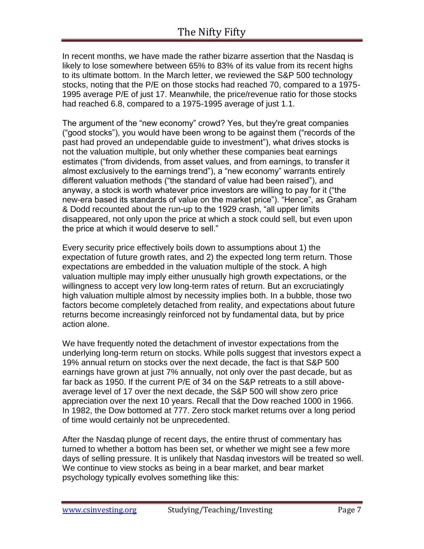In recent months, we have made the rather bizarre assertion that the Nasdaq is likely to lose somewhere between 65% to 83% of its value from its recent highs to its ultimate bottom. In the March letter, we reviewed the S&P 500 technology stocks, noting that the P/E on those stocks had reached 70, compared to a 1975- 1995 average P/E of just 17. Meanwhile, the price/revenue ratio for those stocks had reached 6.8, compared to a 1975-1995 average of just 1.1.

The argument of the "new economy" crowd? Yes, but they're great companies ("good stocks"), you would have been wrong to be against them ("records of the past had proved an undependable guide to investment"), what drives stocks is not the valuation multiple, but only whether these companies beat earnings estimates ("from dividends, from asset values, and from earnings, to transfer it almost exclusively to the earnings trend"), a "new economy" warrants entirely different valuation methods ("the standard of value had been raised"), and anyway, a stock is worth whatever price investors are willing to pay for it ("the new-era based its standards of value on the market price"). "Hence", as Graham & Dodd recounted about the run-up to the 1929 crash, "all upper limits disappeared, not only upon the price at which a stock could sell, but even upon the price at which it would deserve to sell."

Every security price effectively boils down to assumptions about 1) the expectation of future growth rates, and 2) the expected long term return. Those expectations are embedded in the valuation multiple of the stock. A high valuation multiple may imply either unusually high growth expectations, or the willingness to accept very low long-term rates of return. But an excruciatingly high valuation multiple almost by necessity implies both. In a bubble, those two factors become completely detached from reality, and expectations about future returns become increasingly reinforced not by fundamental data, but by price action alone.

We have frequently noted the detachment of investor expectations from the underlying long-term return on stocks. While polls suggest that investors expect a 19% annual return on stocks over the next decade, the fact is that S&P 500 earnings have grown at just 7% annually, not only over the past decade, but as far back as 1950. If the current P/E of 34 on the S&P retreats to a still aboveaverage level of 17 over the next decade, the S&P 500 will show zero price appreciation over the next 10 years. Recall that the Dow reached 1000 in 1966. In 1982, the Dow bottomed at 777. Zero stock market returns over a long period of time would certainly not be unprecedented.

After the Nasdaq plunge of recent days, the entire thrust of commentary has turned to whether a bottom has been set, or whether we might see a few more days of selling pressure. It is unlikely that Nasdaq investors will be treated so well. We continue to view stocks as being in a bear market, and bear market psychology typically evolves something like this: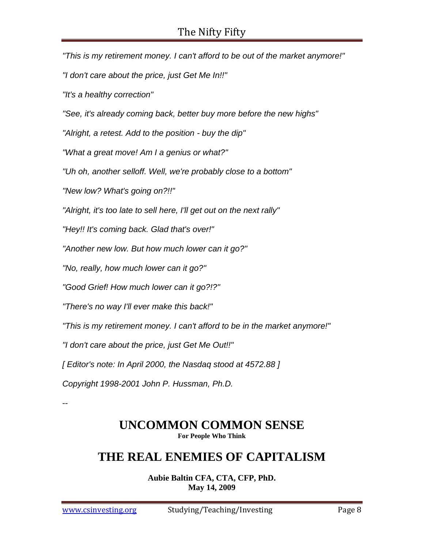*"This is my retirement money. I can't afford to be out of the market anymore!" "I don't care about the price, just Get Me In!!" "It's a healthy correction" "See, it's already coming back, better buy more before the new highs" "Alright, a retest. Add to the position - buy the dip" "What a great move! Am I a genius or what?" "Uh oh, another selloff. Well, we're probably close to a bottom" "New low? What's going on?!!" "Alright, it's too late to sell here, I'll get out on the next rally" "Hey!! It's coming back. Glad that's over!" "Another new low. But how much lower can it go?" "No, really, how much lower can it go?" "Good Grief! How much lower can it go?!?" "There's no way I'll ever make this back!" "This is my retirement money. I can't afford to be in the market anymore!" "I don't care about the price, just Get Me Out!!" [ Editor's note: In April 2000, the Nasdaq stood at 4572.88 ] Copyright 1998-2001 John P. Hussman, Ph.D.* --

## **UNCOMMON COMMON SENSE For People Who Think**

# **THE REAL ENEMIES OF CAPITALISM**

**Aubie Baltin CFA, CTA, CFP, PhD. May 14, 2009**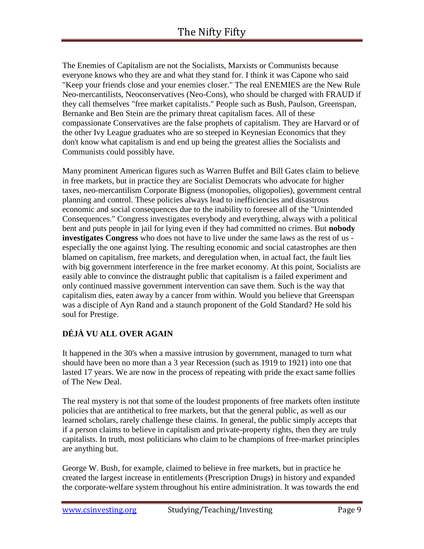The Enemies of Capitalism are not the Socialists, Marxists or Communists because everyone knows who they are and what they stand for. I think it was Capone who said "Keep your friends close and your enemies closer." The real ENEMIES are the New Rule Neo-mercantilists, Neoconservatives (Neo-Cons), who should be charged with FRAUD if they call themselves "free market capitalists." People such as Bush, Paulson, Greenspan, Bernanke and Ben Stein are the primary threat capitalism faces. All of these compassionate Conservatives are the false prophets of capitalism. They are Harvard or of the other Ivy League graduates who are so steeped in Keynesian Economics that they don't know what capitalism is and end up being the greatest allies the Socialists and Communists could possibly have.

Many prominent American figures such as Warren Buffet and Bill Gates claim to believe in free markets, but in practice they are Socialist Democrats who advocate for higher taxes, neo-mercantilism Corporate Bigness (monopolies, oligopolies), government central planning and control. These policies always lead to inefficiencies and disastrous economic and social consequences due to the inability to foresee all of the "Unintended Consequences." Congress investigates everybody and everything, always with a political bent and puts people in jail for lying even if they had committed no crimes. But **nobody investigates Congress** who does not have to live under the same laws as the rest of us especially the one against lying. The resulting economic and social catastrophes are then blamed on capitalism, free markets, and deregulation when, in actual fact, the fault lies with big government interference in the free market economy. At this point, Socialists are easily able to convince the distraught public that capitalism is a failed experiment and only continued massive government intervention can save them. Such is the way that capitalism dies, eaten away by a cancer from within. Would you believe that Greenspan was a disciple of Ayn Rand and a staunch proponent of the Gold Standard? He sold his soul for Prestige.

## **DÉJÀ VU ALL OVER AGAIN**

It happened in the 30's when a massive intrusion by government, managed to turn what should have been no more than a 3 year Recession (such as 1919 to 1921) into one that lasted 17 years. We are now in the process of repeating with pride the exact same follies of The New Deal.

The real mystery is not that some of the loudest proponents of free markets often institute policies that are antithetical to free markets, but that the general public, as well as our learned scholars, rarely challenge these claims. In general, the public simply accepts that if a person claims to believe in capitalism and private-property rights, then they are truly capitalists. In truth, most politicians who claim to be champions of free-market principles are anything but.

George W. Bush, for example, claimed to believe in free markets, but in practice he created the largest increase in entitlements (Prescription Drugs) in history and expanded the corporate-welfare system throughout his entire administration. It was towards the end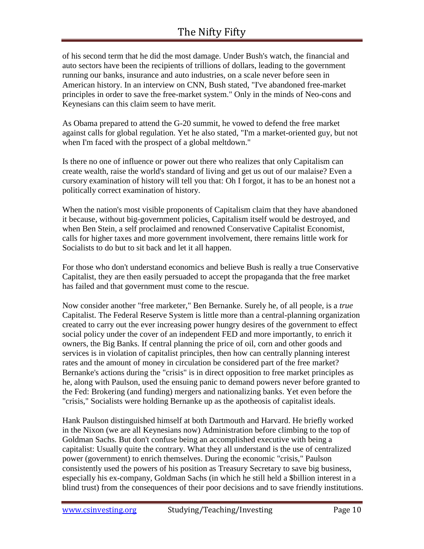## The Nifty Fifty

of his second term that he did the most damage. Under Bush's watch, the financial and auto sectors have been the recipients of trillions of dollars, leading to the government running our banks, insurance and auto industries, on a scale never before seen in American history. In an interview on CNN, Bush stated, "I've abandoned free-market principles in order to save the free-market system." Only in the minds of Neo-cons and Keynesians can this claim seem to have merit.

As Obama prepared to attend the G-20 summit, he vowed to defend the free market against calls for global regulation. Yet he also stated, "I'm a market-oriented guy, but not when I'm faced with the prospect of a global meltdown."

Is there no one of influence or power out there who realizes that only Capitalism can create wealth, raise the world's standard of living and get us out of our malaise? Even a cursory examination of history will tell you that: Oh I forgot, it has to be an honest not a politically correct examination of history.

When the nation's most visible proponents of Capitalism claim that they have abandoned it because, without big-government policies, Capitalism itself would be destroyed, and when Ben Stein, a self proclaimed and renowned Conservative Capitalist Economist, calls for higher taxes and more government involvement, there remains little work for Socialists to do but to sit back and let it all happen.

For those who don't understand economics and believe Bush is really a true Conservative Capitalist, they are then easily persuaded to accept the propaganda that the free market has failed and that government must come to the rescue.

Now consider another "free marketer," Ben Bernanke. Surely he, of all people, is a *true* Capitalist. The Federal Reserve System is little more than a central-planning organization created to carry out the ever increasing power hungry desires of the government to effect social policy under the cover of an independent FED and more importantly, to enrich it owners, the Big Banks. If central planning the price of oil, corn and other goods and services is in violation of capitalist principles, then how can centrally planning interest rates and the amount of money in circulation be considered part of the free market? Bernanke's actions during the "crisis" is in direct opposition to free market principles as he, along with Paulson, used the ensuing panic to demand powers never before granted to the Fed: Brokering (and funding) mergers and nationalizing banks. Yet even before the "crisis," Socialists were holding Bernanke up as the apotheosis of capitalist ideals.

Hank Paulson distinguished himself at both Dartmouth and Harvard. He briefly worked in the Nixon (we are all Keynesians now) Administration before climbing to the top of Goldman Sachs. But don't confuse being an accomplished executive with being a capitalist: Usually quite the contrary. What they all understand is the use of centralized power (government) to enrich themselves. During the economic "crisis," Paulson consistently used the powers of his position as Treasury Secretary to save big business, especially his ex-company, Goldman Sachs (in which he still held a \$billion interest in a blind trust) from the consequences of their poor decisions and to save friendly institutions.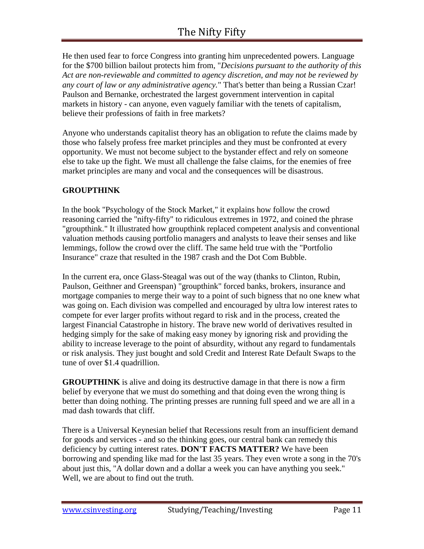He then used fear to force Congress into granting him unprecedented powers. Language for the \$700 billion bailout protects him from, "*Decisions pursuant to the authority of this Act are non-reviewable and committed to agency discretion, and may not be reviewed by any court of law or any administrative agency.*" That's better than being a Russian Czar! Paulson and Bernanke, orchestrated the largest government intervention in capital markets in history - can anyone, even vaguely familiar with the tenets of capitalism, believe their professions of faith in free markets?

Anyone who understands capitalist theory has an obligation to refute the claims made by those who falsely profess free market principles and they must be confronted at every opportunity. We must not become subject to the bystander effect and rely on someone else to take up the fight. We must all challenge the false claims, for the enemies of free market principles are many and vocal and the consequences will be disastrous.

## **GROUPTHINK**

In the book "Psychology of the Stock Market," it explains how follow the crowd reasoning carried the "nifty-fifty" to ridiculous extremes in 1972, and coined the phrase "groupthink." It illustrated how groupthink replaced competent analysis and conventional valuation methods causing portfolio managers and analysts to leave their senses and like lemmings, follow the crowd over the cliff. The same held true with the "Portfolio Insurance" craze that resulted in the 1987 crash and the Dot Com Bubble.

In the current era, once Glass-Steagal was out of the way (thanks to Clinton, Rubin, Paulson, Geithner and Greenspan) "groupthink" forced banks, brokers, insurance and mortgage companies to merge their way to a point of such bigness that no one knew what was going on. Each division was compelled and encouraged by ultra low interest rates to compete for ever larger profits without regard to risk and in the process, created the largest Financial Catastrophe in history. The brave new world of derivatives resulted in hedging simply for the sake of making easy money by ignoring risk and providing the ability to increase leverage to the point of absurdity, without any regard to fundamentals or risk analysis. They just bought and sold Credit and Interest Rate Default Swaps to the tune of over \$1.4 quadrillion.

**GROUPTHINK** is alive and doing its destructive damage in that there is now a firm belief by everyone that we must do something and that doing even the wrong thing is better than doing nothing. The printing presses are running full speed and we are all in a mad dash towards that cliff.

There is a Universal Keynesian belief that Recessions result from an insufficient demand for goods and services - and so the thinking goes, our central bank can remedy this deficiency by cutting interest rates. **DON'T FACTS MATTER?** We have been borrowing and spending like mad for the last 35 years. They even wrote a song in the 70's about just this, "A dollar down and a dollar a week you can have anything you seek." Well, we are about to find out the truth.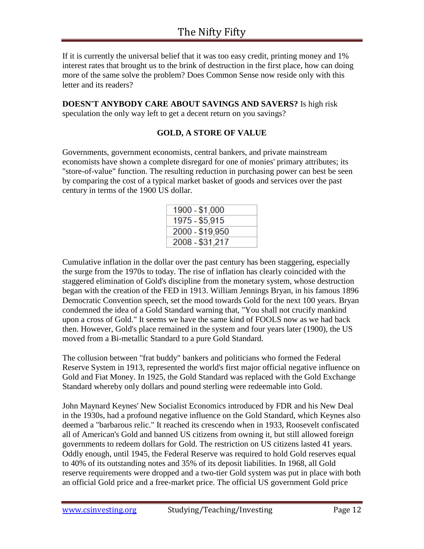If it is currently the universal belief that it was too easy credit, printing money and 1% interest rates that brought us to the brink of destruction in the first place, how can doing more of the same solve the problem? Does Common Sense now reside only with this letter and its readers?

**DOESN'T ANYBODY CARE ABOUT SAVINGS AND SAVERS?** Is high risk speculation the only way left to get a decent return on you savings?

### **GOLD, A STORE OF VALUE**

Governments, government economists, central bankers, and private mainstream economists have shown a complete disregard for one of monies' primary attributes; its "store-of-value" function. The resulting reduction in purchasing power can best be seen by comparing the cost of a typical market basket of goods and services over the past century in terms of the 1900 US dollar.

| 1900 - \$1,000  |  |
|-----------------|--|
| 1975 - \$5,915  |  |
| 2000 - \$19,950 |  |
| 2008 - \$31,217 |  |

Cumulative inflation in the dollar over the past century has been staggering, especially the surge from the 1970s to today. The rise of inflation has clearly coincided with the staggered elimination of Gold's discipline from the monetary system, whose destruction began with the creation of the FED in 1913. William Jennings Bryan, in his famous 1896 Democratic Convention speech, set the mood towards Gold for the next 100 years. Bryan condemned the idea of a Gold Standard warning that, "You shall not crucify mankind upon a cross of Gold." It seems we have the same kind of FOOLS now as we had back then. However, Gold's place remained in the system and four years later (1900), the US moved from a Bi-metallic Standard to a pure Gold Standard.

The collusion between "frat buddy" bankers and politicians who formed the Federal Reserve System in 1913, represented the world's first major official negative influence on Gold and Fiat Money. In 1925, the Gold Standard was replaced with the Gold Exchange Standard whereby only dollars and pound sterling were redeemable into Gold.

John Maynard Keynes' New Socialist Economics introduced by FDR and his New Deal in the 1930s, had a profound negative influence on the Gold Standard, which Keynes also deemed a "barbarous relic." It reached its crescendo when in 1933, Roosevelt confiscated all of American's Gold and banned US citizens from owning it, but still allowed foreign governments to redeem dollars for Gold. The restriction on US citizens lasted 41 years. Oddly enough, until 1945, the Federal Reserve was required to hold Gold reserves equal to 40% of its outstanding notes and 35% of its deposit liabilities. In 1968, all Gold reserve requirements were dropped and a two-tier Gold system was put in place with both an official Gold price and a free-market price. The official US government Gold price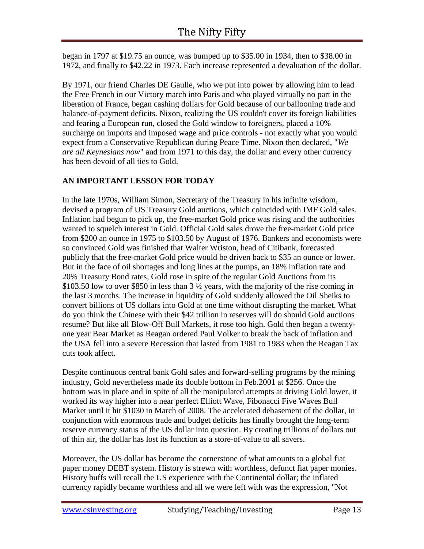began in 1797 at \$19.75 an ounce, was bumped up to \$35.00 in 1934, then to \$38.00 in 1972, and finally to \$42.22 in 1973. Each increase represented a devaluation of the dollar.

By 1971, our friend Charles DE Gaulle, who we put into power by allowing him to lead the Free French in our Victory march into Paris and who played virtually no part in the liberation of France, began cashing dollars for Gold because of our ballooning trade and balance-of-payment deficits. Nixon, realizing the US couldn't cover its foreign liabilities and fearing a European run, closed the Gold window to foreigners, placed a 10% surcharge on imports and imposed wage and price controls - not exactly what you would expect from a Conservative Republican during Peace Time. Nixon then declared, "*We are all Keynesians now*" and from 1971 to this day, the dollar and every other currency has been devoid of all ties to Gold.

## **AN IMPORTANT LESSON FOR TODAY**

In the late 1970s, William Simon, Secretary of the Treasury in his infinite wisdom, devised a program of US Treasury Gold auctions, which coincided with IMF Gold sales. Inflation had begun to pick up, the free-market Gold price was rising and the authorities wanted to squelch interest in Gold. Official Gold sales drove the free-market Gold price from \$200 an ounce in 1975 to \$103.50 by August of 1976. Bankers and economists were so convinced Gold was finished that Walter Wriston, head of Citibank, forecasted publicly that the free-market Gold price would be driven back to \$35 an ounce or lower. But in the face of oil shortages and long lines at the pumps, an 18% inflation rate and 20% Treasury Bond rates, Gold rose in spite of the regular Gold Auctions from its \$103.50 low to over \$850 in less than 3 ½ years, with the majority of the rise coming in the last 3 months. The increase in liquidity of Gold suddenly allowed the Oil Sheiks to convert billions of US dollars into Gold at one time without disrupting the market. What do you think the Chinese with their \$42 trillion in reserves will do should Gold auctions resume? But like all Blow-Off Bull Markets, it rose too high. Gold then began a twentyone year Bear Market as Reagan ordered Paul Volker to break the back of inflation and the USA fell into a severe Recession that lasted from 1981 to 1983 when the Reagan Tax cuts took affect.

Despite continuous central bank Gold sales and forward-selling programs by the mining industry, Gold nevertheless made its double bottom in Feb.2001 at \$256. Once the bottom was in place and in spite of all the manipulated attempts at driving Gold lower, it worked its way higher into a near perfect Elliott Wave, Fibonacci Five Waves Bull Market until it hit \$1030 in March of 2008. The accelerated debasement of the dollar, in conjunction with enormous trade and budget deficits has finally brought the long-term reserve currency status of the US dollar into question. By creating trillions of dollars out of thin air, the dollar has lost its function as a store-of-value to all savers.

Moreover, the US dollar has become the cornerstone of what amounts to a global fiat paper money DEBT system. History is strewn with worthless, defunct fiat paper monies. History buffs will recall the US experience with the Continental dollar; the inflated currency rapidly became worthless and all we were left with was the expression, "Not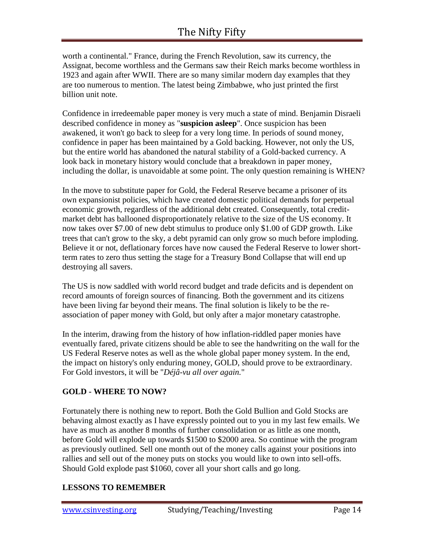worth a continental." France, during the French Revolution, saw its currency, the Assignat, become worthless and the Germans saw their Reich marks become worthless in 1923 and again after WWII. There are so many similar modern day examples that they are too numerous to mention. The latest being Zimbabwe, who just printed the first billion unit note.

Confidence in irredeemable paper money is very much a state of mind. Benjamin Disraeli described confidence in money as "**suspicion asleep**". Once suspicion has been awakened, it won't go back to sleep for a very long time. In periods of sound money, confidence in paper has been maintained by a Gold backing. However, not only the US, but the entire world has abandoned the natural stability of a Gold-backed currency. A look back in monetary history would conclude that a breakdown in paper money, including the dollar, is unavoidable at some point. The only question remaining is WHEN?

In the move to substitute paper for Gold, the Federal Reserve became a prisoner of its own expansionist policies, which have created domestic political demands for perpetual economic growth, regardless of the additional debt created. Consequently, total creditmarket debt has ballooned disproportionately relative to the size of the US economy. It now takes over \$7.00 of new debt stimulus to produce only \$1.00 of GDP growth. Like trees that can't grow to the sky, a debt pyramid can only grow so much before imploding. Believe it or not, deflationary forces have now caused the Federal Reserve to lower shortterm rates to zero thus setting the stage for a Treasury Bond Collapse that will end up destroying all savers.

The US is now saddled with world record budget and trade deficits and is dependent on record amounts of foreign sources of financing. Both the government and its citizens have been living far beyond their means. The final solution is likely to be the reassociation of paper money with Gold, but only after a major monetary catastrophe.

In the interim, drawing from the history of how inflation-riddled paper monies have eventually fared, private citizens should be able to see the handwriting on the wall for the US Federal Reserve notes as well as the whole global paper money system. In the end, the impact on history's only enduring money, GOLD, should prove to be extraordinary. For Gold investors, it will be "*Déjâ-vu all over again.*"

## **GOLD - WHERE TO NOW?**

Fortunately there is nothing new to report. Both the Gold Bullion and Gold Stocks are behaving almost exactly as I have expressly pointed out to you in my last few emails. We have as much as another 8 months of further consolidation or as little as one month, before Gold will explode up towards \$1500 to \$2000 area. So continue with the program as previously outlined. Sell one month out of the money calls against your positions into rallies and sell out of the money puts on stocks you would like to own into sell-offs. Should Gold explode past \$1060, cover all your short calls and go long.

#### **LESSONS TO REMEMBER**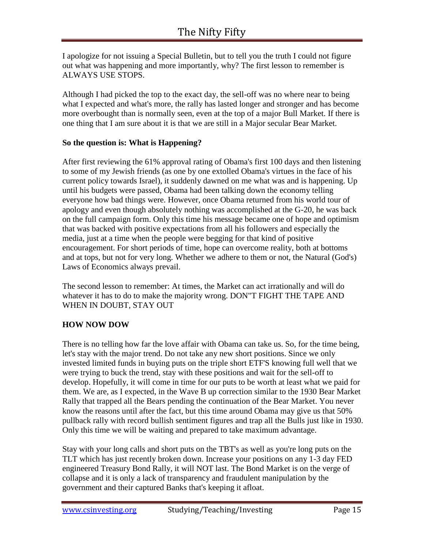I apologize for not issuing a Special Bulletin, but to tell you the truth I could not figure out what was happening and more importantly, why? The first lesson to remember is ALWAYS USE STOPS.

Although I had picked the top to the exact day, the sell-off was no where near to being what I expected and what's more, the rally has lasted longer and stronger and has become more overbought than is normally seen, even at the top of a major Bull Market. If there is one thing that I am sure about it is that we are still in a Major secular Bear Market.

### **So the question is: What is Happening?**

After first reviewing the 61% approval rating of Obama's first 100 days and then listening to some of my Jewish friends (as one by one extolled Obama's virtues in the face of his current policy towards Israel), it suddenly dawned on me what was and is happening. Up until his budgets were passed, Obama had been talking down the economy telling everyone how bad things were. However, once Obama returned from his world tour of apology and even though absolutely nothing was accomplished at the G-20, he was back on the full campaign form. Only this time his message became one of hope and optimism that was backed with positive expectations from all his followers and especially the media, just at a time when the people were begging for that kind of positive encouragement. For short periods of time, hope can overcome reality, both at bottoms and at tops, but not for very long. Whether we adhere to them or not, the Natural (God's) Laws of Economics always prevail.

The second lesson to remember: At times, the Market can act irrationally and will do whatever it has to do to make the majority wrong. DON"T FIGHT THE TAPE AND WHEN IN DOUBT, STAY OUT

## **HOW NOW DOW**

There is no telling how far the love affair with Obama can take us. So, for the time being, let's stay with the major trend. Do not take any new short positions. Since we only invested limited funds in buying puts on the triple short ETF'S knowing full well that we were trying to buck the trend, stay with these positions and wait for the sell-off to develop. Hopefully, it will come in time for our puts to be worth at least what we paid for them. We are, as I expected, in the Wave B up correction similar to the 1930 Bear Market Rally that trapped all the Bears pending the continuation of the Bear Market. You never know the reasons until after the fact, but this time around Obama may give us that 50% pullback rally with record bullish sentiment figures and trap all the Bulls just like in 1930. Only this time we will be waiting and prepared to take maximum advantage.

Stay with your long calls and short puts on the TBT's as well as you're long puts on the TLT which has just recently broken down. Increase your positions on any 1-3 day FED engineered Treasury Bond Rally, it will NOT last. The Bond Market is on the verge of collapse and it is only a lack of transparency and fraudulent manipulation by the government and their captured Banks that's keeping it afloat.